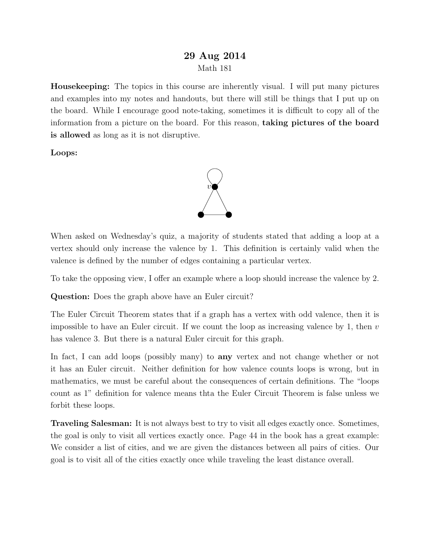## 29 Aug 2014 Math 181

Housekeeping: The topics in this course are inherently visual. I will put many pictures and examples into my notes and handouts, but there will still be things that I put up on the board. While I encourage good note-taking, sometimes it is difficult to copy all of the information from a picture on the board. For this reason, taking pictures of the board is allowed as long as it is not disruptive.

Loops:



When asked on Wednesday's quiz, a majority of students stated that adding a loop at a vertex should only increase the valence by 1. This definition is certainly valid when the valence is defined by the number of edges containing a particular vertex.

To take the opposing view, I offer an example where a loop should increase the valence by 2.

Question: Does the graph above have an Euler circuit?

The Euler Circuit Theorem states that if a graph has a vertex with odd valence, then it is impossible to have an Euler circuit. If we count the loop as increasing valence by 1, then  $v$ has valence 3. But there is a natural Euler circuit for this graph.

In fact, I can add loops (possibly many) to any vertex and not change whether or not it has an Euler circuit. Neither definition for how valence counts loops is wrong, but in mathematics, we must be careful about the consequences of certain definitions. The "loops count as 1" definition for valence means thta the Euler Circuit Theorem is false unless we forbit these loops.

Traveling Salesman: It is not always best to try to visit all edges exactly once. Sometimes, the goal is only to visit all vertices exactly once. Page 44 in the book has a great example: We consider a list of cities, and we are given the distances between all pairs of cities. Our goal is to visit all of the cities exactly once while traveling the least distance overall.